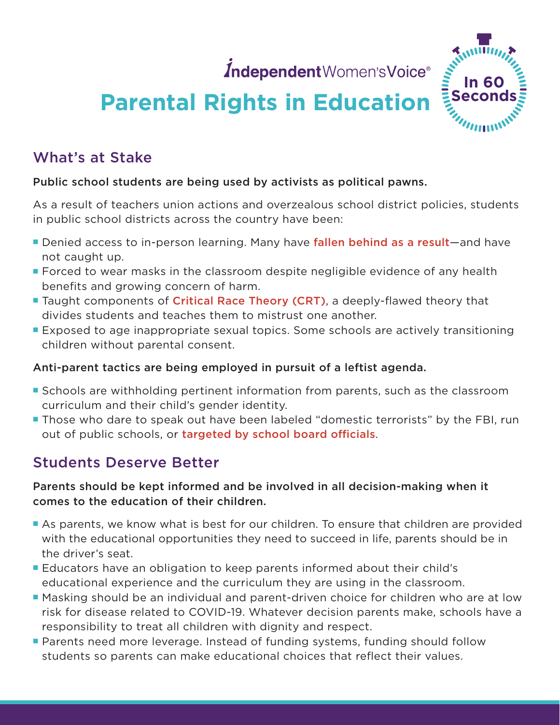IndependentWomen'sVoice®



# **Parental Rights in Education**

## What's at Stake

#### Public school students are being used by activists as political pawns.

As a result of teachers union actions and overzealous school district policies, students in public school districts across the country have been:

- Denied access to in-person learning. Many have [fallen behind as a result](https://www.wcax.com/2021/11/09/vt-ed-officials-say-poor-standardized-scores-pandemic-anomaly/)—and have not caught up.
- **Forced to wear masks in the classroom despite negligible evidence of any health** benefits and growing concern of harm.
- **Taught components of [Critical Race Theory \(CRT\)](https://www.iwv.org/2022/02/how-to-talk-about-critical-race-theory-and-anti-racism/)**, a deeply-flawed theory that divides students and teaches them to mistrust one another.
- **Exposed to age inappropriate sexual topics. Some schools are actively transitioning** children without parental consent.

#### Anti-parent tactics are being employed in pursuit of a leftist agenda.

- **Schools are withholding pertinent information from parents, such as the classroom** curriculum and their child's gender identity.
- **Those who dare to speak out have been labeled "domestic terrorists" by the FBI, run** out of public schools, or [targeted by school board officials](https://nypost.com/2021/11/12/arizona-school-board-head-kept-dossier-of-parent-info/).

## Students Deserve Better

#### Parents should be kept informed and be involved in all decision-making when it comes to the education of their children.

- **As parents, we know what is best for our children. To ensure that children are provided** with the educational opportunities they need to succeed in life, parents should be in the driver's seat.
- **E** Educators have an obligation to keep parents informed about their child's educational experience and the curriculum they are using in the classroom.
- **P** Masking should be an individual and parent-driven choice for children who are at low risk for disease related to COVID-19. Whatever decision parents make, schools have a responsibility to treat all children with dignity and respect.
- **P** Parents need more leverage. Instead of funding systems, funding should follow students so parents can make educational choices that reflect their values.